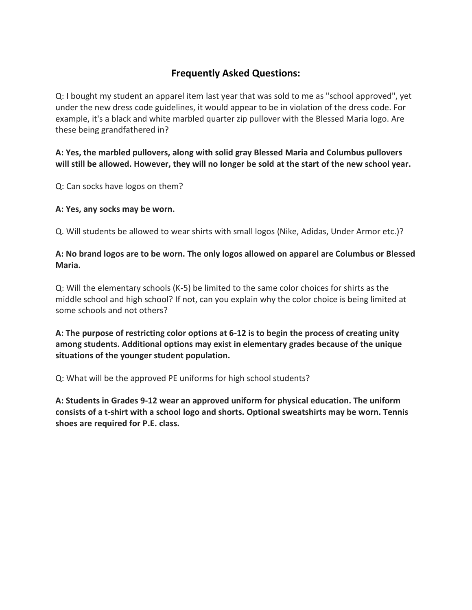## **Frequently Asked Questions:**

Q: I bought my student an apparel item last year that was sold to me as "school approved", yet under the new dress code guidelines, it would appear to be in violation of the dress code. For example, it's a black and white marbled quarter zip pullover with the Blessed Maria logo. Are these being grandfathered in?

### **A: Yes, the marbled pullovers, along with solid gray Blessed Maria and Columbus pullovers will still be allowed. However, they will no longer be sold at the start of the new school year.**

Q: Can socks have logos on them?

#### **A: Yes, any socks may be worn.**

Q. Will students be allowed to wear shirts with small logos (Nike, Adidas, Under Armor etc.)?

#### **A: No brand logos are to be worn. The only logos allowed on apparel are Columbus or Blessed Maria.**

Q: Will the elementary schools (K-5) be limited to the same color choices for shirts as the middle school and high school? If not, can you explain why the color choice is being limited at some schools and not others?

**A: The purpose of restricting color options at 6-12 is to begin the process of creating unity among students. Additional options may exist in elementary grades because of the unique situations of the younger student population.**

Q: What will be the approved PE uniforms for high school students?

**A: Students in Grades 9-12 wear an approved uniform for physical education. The uniform consists of a t-shirt with a school logo and shorts. Optional sweatshirts may be worn. Tennis shoes are required for P.E. class.**